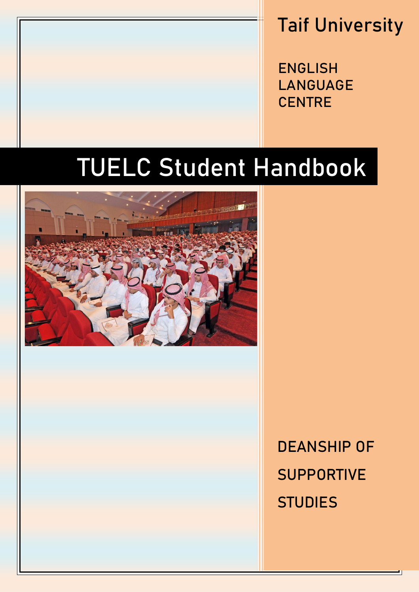## Taif University

ENGLISH LANGUAGE **CENTRE** 

# TUELC Student Handbook



DEANSHIP OF **SUPPORTIVE STUDIES**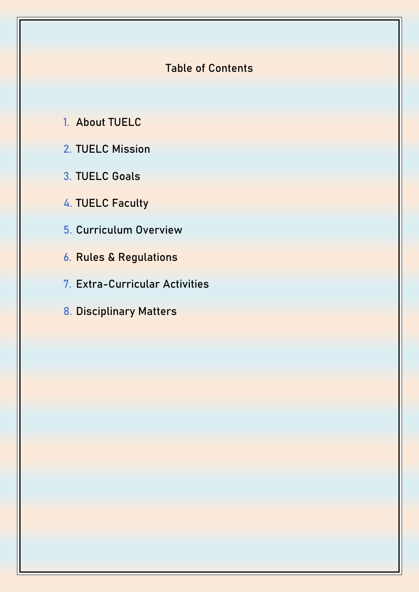## **Table of Contents**

- **1. About TUELC**
- **2. TUELC Mission**
- **3. TUELC Goals**
- **4. TUELC Faculty**
- **5. Curriculum Overview**
- **6. Rules & Regulations**
- **7. Extra-Curricular Activities**
- **8. Disciplinary Matters**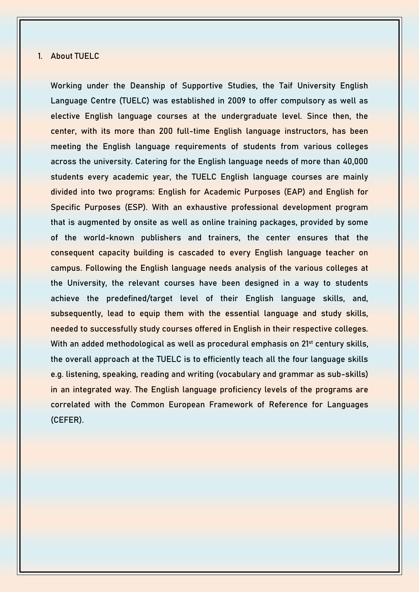#### **1. About TUELC**

Working under the Deanship of Supportive Studies, the Taif University English Language Centre (TUELC) was established in 2009 to offer compulsory as well as elective English language courses at the undergraduate level. Since then, the center, with its more than 200 full-time English language instructors, has been meeting the English language requirements of students from various colleges across the university. Catering for the English language needs of more than 40,000 students every academic year, the TUELC English language courses are mainly divided into two programs: English for Academic Purposes (EAP) and English for Specific Purposes (ESP). With an exhaustive professional development program that is augmented by onsite as well as online training packages, provided by some of the world-known publishers and trainers, the center ensures that the consequent capacity building is cascaded to every English language teacher on campus. Following the English language needs analysis of the various colleges at the University, the relevant courses have been designed in a way to students achieve the predefined/target level of their English language skills, and, subsequently, lead to equip them with the essential language and study skills, needed to successfully study courses offered in English in their respective colleges. With an added methodological as well as procedural emphasis on 21<sup>st</sup> century skills, the overall approach at the TUELC is to efficiently teach all the four language skills e.g. listening, speaking, reading and writing (vocabulary and grammar as sub-skills) in an integrated way. The English language proficiency levels of the programs are correlated with the Common European Framework of Reference for Languages (CEFER).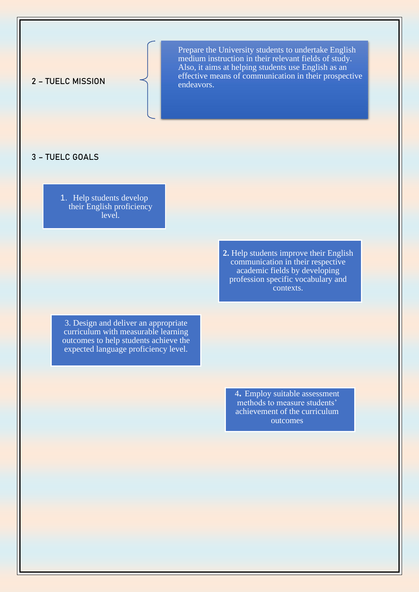2 – TUELC MISSION

**TUELC MISSION** *EXISOR* MISSION *ASSO,* It also at helping students use Engilsh as an Prepare the University students to undertake English medium instruction in their relevant fields of study. Also, it aims at helping students use English as an endeavors.

#### 3 – TUELC GOALS

1. Help students develop their English proficiency level.

> **2.** Help students improve their English communication in their respective academic fields by developing profession specific vocabulary and contexts.

3. Design and deliver an appropriate curriculum with measurable learning outcomes to help students achieve the expected language proficiency level.

> 4**.** Employ suitable assessment methods to measure students' achievement of the curriculum outcomes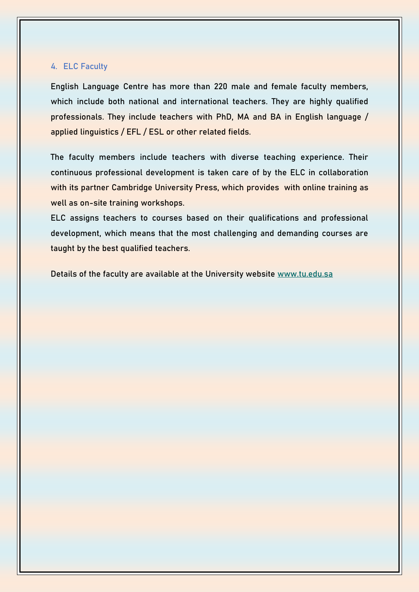#### **4. ELC Faculty**

English Language Centre has more than 220 male and female faculty members, which include both national and international teachers. They are highly qualified professionals. They include teachers with PhD, MA and BA in English language / applied linguistics / EFL / ESL or other related fields.

The faculty members include teachers with diverse teaching experience. Their continuous professional development is taken care of by the ELC in collaboration with its partner Cambridge University Press, which provides with online training as well as on-site training workshops.

ELC assigns teachers to courses based on their qualifications and professional development, which means that the most challenging and demanding courses are taught by the best qualified teachers.

Details of the faculty are available at the University website [www.tu.edu.sa](http://www.tu.edu.sa/)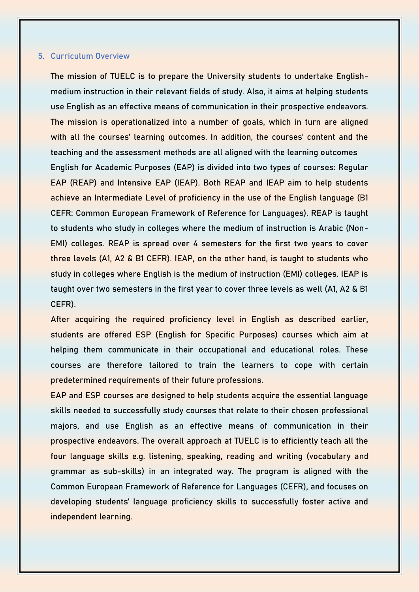#### **5. Curriculum Overview**

The mission of TUELC is to prepare the University students to undertake Englishmedium instruction in their relevant fields of study. Also, it aims at helping students use English as an effective means of communication in their prospective endeavors. The mission is operationalized into a number of goals, which in turn are aligned with all the courses' learning outcomes. In addition, the courses' content and the teaching and the assessment methods are all aligned with the learning outcomes English for Academic Purposes (EAP) is divided into two types of courses: Regular EAP (REAP) and Intensive EAP (IEAP). Both REAP and IEAP aim to help students achieve an Intermediate Level of proficiency in the use of the English language (B1 CEFR: Common European Framework of Reference for Languages). REAP is taught to students who study in colleges where the medium of instruction is Arabic (Non-EMI) colleges. REAP is spread over 4 semesters for the first two years to cover three levels (A1, A2 & B1 CEFR). IEAP, on the other hand, is taught to students who study in colleges where English is the medium of instruction (EMI) colleges. IEAP is taught over two semesters in the first year to cover three levels as well (A1, A2 & B1 CEFR).

After acquiring the required proficiency level in English as described earlier, students are offered ESP (English for Specific Purposes) courses which aim at helping them communicate in their occupational and educational roles. These courses are therefore tailored to train the learners to cope with certain predetermined requirements of their future professions.

EAP and ESP courses are designed to help students acquire the essential language skills needed to successfully study courses that relate to their chosen professional majors, and use English as an effective means of communication in their prospective endeavors. The overall approach at TUELC is to efficiently teach all the four language skills e.g. listening, speaking, reading and writing (vocabulary and grammar as sub-skills) in an integrated way. The program is aligned with the Common European Framework of Reference for Languages (CEFR), and focuses on developing students' language proficiency skills to successfully foster active and independent learning.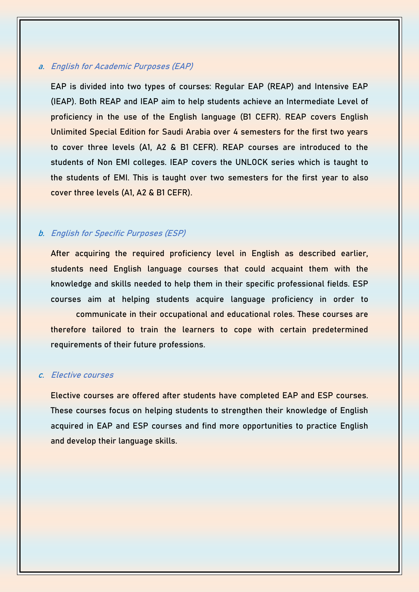#### **a. English for Academic Purposes (EAP)**

EAP is divided into two types of courses: Regular EAP (REAP) and Intensive EAP (IEAP). Both REAP and IEAP aim to help students achieve an Intermediate Level of proficiency in the use of the English language (B1 CEFR). REAP covers English Unlimited Special Edition for Saudi Arabia over 4 semesters for the first two years to cover three levels (A1, A2 & B1 CEFR). REAP courses are introduced to the students of Non EMI colleges. IEAP covers the UNLOCK series which is taught to the students of EMI. This is taught over two semesters for the first year to also cover three levels (A1, A2 & B1 CEFR).

#### **b. English for Specific Purposes (ESP)**

After acquiring the required proficiency level in English as described earlier, students need English language courses that could acquaint them with the knowledge and skills needed to help them in their specific professional fields. ESP courses aim at helping students acquire language proficiency in order to communicate in their occupational and educational roles. These courses are therefore tailored to train the learners to cope with certain predetermined requirements of their future professions.

#### **c. Elective courses**

Elective courses are offered after students have completed EAP and ESP courses. These courses focus on helping students to strengthen their knowledge of English acquired in EAP and ESP courses and find more opportunities to practice English and develop their language skills.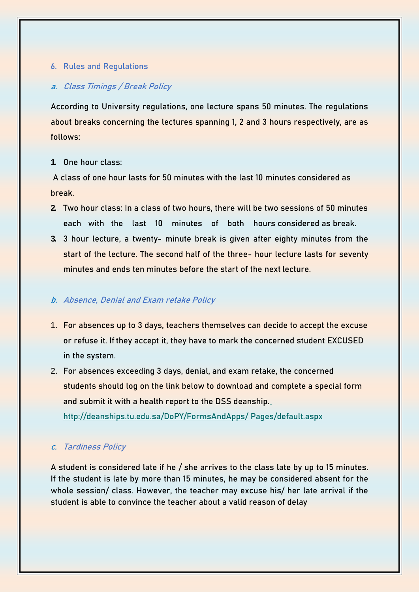#### **6. Rules and Regulations**

#### **a. Class Timings / Break Policy**

According to University regulations, one lecture spans 50 minutes. The regulations about breaks concerning the lectures spanning 1, 2 and 3 hours respectively, are as follows:

#### **1. One hour class:**

A class of one hour lasts for 50 minutes with the last 10 minutes considered as break.

- **2. Two hour class:** In a class of two hours, there will be two sessions of 50 minutes each with the last 10 minutes of both hours considered as break.
- **3. 3 hour lecture**, a twenty- minute break is given after eighty minutes from the start of the lecture. The second half of the three- hour lecture lasts for seventy minutes and ends ten minutes before the start of the next lecture.

#### **b. Absence, Denial and Exam retake Policy**

- 1. For absences up to 3 days, teachers themselves can decide to accept the excuse or refuse it. If they accept it, they have to mark the concerned student EXCUSED in the system.
- 2. For absences exceeding 3 days, denial, and exam retake, the concerned students should log on the link below to download and complete a special form and submit it with a health report to the DSS deanship[.](http://deanships.tu.edu.sa/DoPY/FormsAndApps/%09Pages/default.aspx)

[http://deanships.tu.edu.sa/DoPY/FormsAndApps/](http://deanships.tu.edu.sa/DoPY/FormsAndApps/%09Pages/default.aspx) [Pages/default.aspx](http://deanships.tu.edu.sa/DoPY/FormsAndApps/%09Pages/default.aspx)

#### **c. Tardiness Policy**

A student is considered late if he / she arrives to the class late by up to 15 minutes. If the student is late by more than 15 minutes, he may be considered absent for the whole session/ class. However, the teacher may excuse his/ her late arrival if the student is able to convince the teacher about a valid reason of delay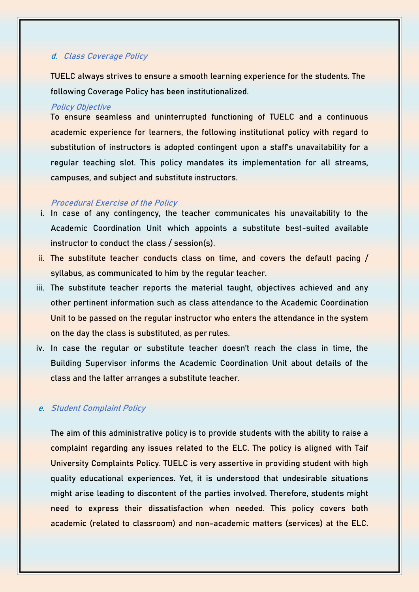#### **d. Class Coverage Policy**

TUELC always strives to ensure a smooth learning experience for the students. The following Coverage Policy has been institutionalized.

#### **Policy Objective**

To ensure seamless and uninterrupted functioning of TUELC and a continuous academic experience for learners, the following institutional policy with regard to substitution of instructors is adopted contingent upon a staff's unavailability for a regular teaching slot. This policy mandates its implementation for all streams, campuses, and subject and substitute instructors.

#### **Procedural Exercise of the Policy**

- i. In case of any contingency, the teacher communicates his unavailability to the Academic Coordination Unit which appoints a substitute best-suited available instructor to conduct the class / session(s).
- ii. The substitute teacher conducts class on time, and covers the default pacing / syllabus, as communicated to him by the regular teacher.
- iii. The substitute teacher reports the material taught, objectives achieved and any other pertinent information such as class attendance to the Academic Coordination Unit to be passed on the regular instructor who enters the attendance in the system on the day the class is substituted, as per rules.
- iv. In case the regular or substitute teacher doesn't reach the class in time, the Building Supervisor informs the Academic Coordination Unit about details of the class and the latter arranges a substitute teacher.

#### **e. Student Complaint Policy**

The aim of this administrative policy is to provide students with the ability to raise a complaint regarding any issues related to the ELC. The policy is aligned with Taif University Complaints Policy. TUELC is very assertive in providing student with high quality educational experiences. Yet, it is understood that undesirable situations might arise leading to discontent of the parties involved. Therefore, students might need to express their dissatisfaction when needed. This policy covers both academic (related to classroom) and non-academic matters (services) at the ELC.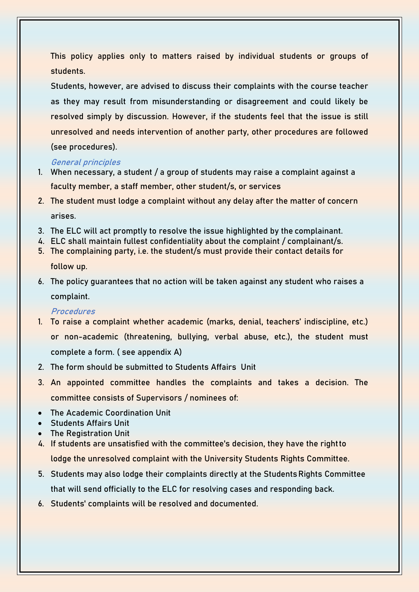This policy applies only to matters raised by individual students or groups of students.

Students, however, are advised to discuss their complaints with the course teacher as they may result from misunderstanding or disagreement and could likely be resolved simply by discussion. However, if the students feel that the issue is still unresolved and needs intervention of another party, other procedures are followed (see procedures).

#### **General principles**

- 1. When necessary, a student / a group of students may raise a complaint against a faculty member, a staff member, other student/s, or services
- 2. The student must lodge a complaint without any delay after the matter of concern arises.
- 3. The ELC will act promptly to resolve the issue highlighted by the complainant.
- 4. ELC shall maintain fullest confidentiality about the complaint / complainant/s.
- 5. The complaining party, i.e. the student/s must provide their contact details for follow up.
- 6. The policy guarantees that no action will be taken against any student who raises a complaint.

#### **Procedures**

- 1. To raise a complaint whether academic (marks, denial, teachers' indiscipline, etc.) or non-academic (threatening, bullying, verbal abuse, etc.), the student must complete a form. ( see appendix A)
- 2. The form should be submitted to Students Affairs Unit
- 3. An appointed committee handles the complaints and takes a decision. The committee consists of Supervisors / nominees of:
- The Academic Coordination Unit
- Students Affairs Unit
- The Registration Unit
- 4. If students are unsatisfied with the committee's decision, they have the rightto lodge the unresolved complaint with the University Students Rights Committee.
- 5. Students may also lodge their complaints directly at the StudentsRights Committee that will send officially to the ELC for resolving cases and responding back.
- 6. Students' complaints will be resolved and documented.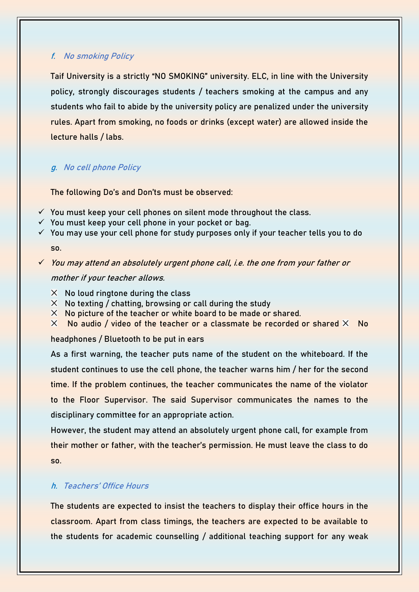#### **f. No smoking Policy**

Taif University is a strictly "NO SMOKING" university. ELC, in line with the University policy, strongly discourages students / teachers smoking at the campus and any students who fail to abide by the university policy are penalized under the university rules. Apart from smoking, no foods or drinks (except water) are allowed inside the lecture halls / labs.

#### **g. No cell phone Policy**

The following **Do's** and **Don'ts** must be observed:

- $\checkmark$  You must keep your cell phones on silent mode throughout the class.
- $\checkmark$  You must keep your cell phone in your pocket or bag.
- $\checkmark$  You may use your cell phone for study purposes only if your teacher tells you to do so.

✓ You may attend an absolutely urgent phone call, i.e. the one from your father or mother if your teacher allows.

- $\times$  No loud ringtone during the class
- $\times$  No texting / chatting, browsing or call during the study
- $\times$  No picture of the teacher or white board to be made or shared.
- $\times$  No audio / video of the teacher or a classmate be recorded or shared  $\times$  No

headphones / Bluetooth to be put in ears

As a first warning, the teacher puts name of the student on the whiteboard. If the student continues to use the cell phone, the teacher warns him / her for the second time. If the problem continues, the teacher communicates the name of the violator to the Floor Supervisor. The said Supervisor communicates the names to the disciplinary committee for an appropriate action.

However, the student may attend an absolutely urgent phone call, for example from their mother or father, with the teacher's permission. He must leave the class to do so.

#### **h. Teachers' Office Hours**

The students are expected to insist the teachers to display their office hours in the classroom. Apart from class timings, the teachers are expected to be available to the students for academic counselling / additional teaching support for any weak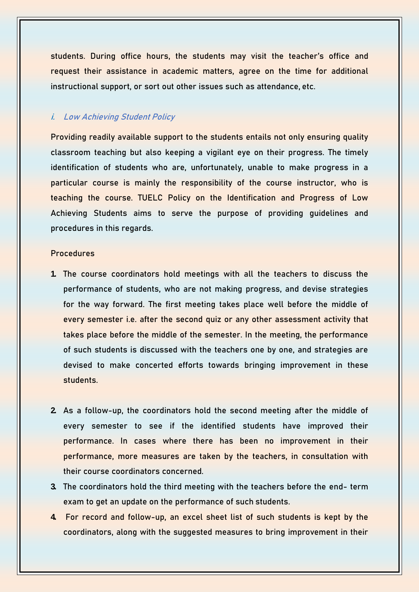students. During office hours, the students may visit the teacher's office and request their assistance in academic matters, agree on the time for additional instructional support, or sort out other issues such as attendance, etc.

#### **i. Low Achieving Student Policy**

Providing readily available support to the students entails not only ensuring quality classroom teaching but also keeping a vigilant eye on their progress. The timely identification of students who are, unfortunately, unable to make progress in a particular course is mainly the responsibility of the course instructor, who is teaching the course. TUELC Policy on the Identification and Progress of Low Achieving Students aims to serve the purpose of providing guidelines and procedures in this regards.

#### **Procedures**

- **1.** The course coordinators hold meetings with all the teachers to discuss the performance of students, who are not making progress, and devise strategies for the way forward. The first meeting takes place well before the middle of every semester i.e. after the second quiz or any other assessment activity that takes place before the middle of the semester. In the meeting, the performance of such students is discussed with the teachers one by one, and strategies are devised to make concerted efforts towards bringing improvement in these students.
- **2.** As a follow-up, the coordinators hold the second meeting after the middle of every semester to see if the identified students have improved their performance. In cases where there has been no improvement in their performance, more measures are taken by the teachers, in consultation with their course coordinators concerned.
- **3.** The coordinators hold the third meeting with the teachers before the end- term exam to get an update on the performance of such students.
- **4.** For record and follow-up, an excel sheet list of such students is kept by the coordinators, along with the suggested measures to bring improvement in their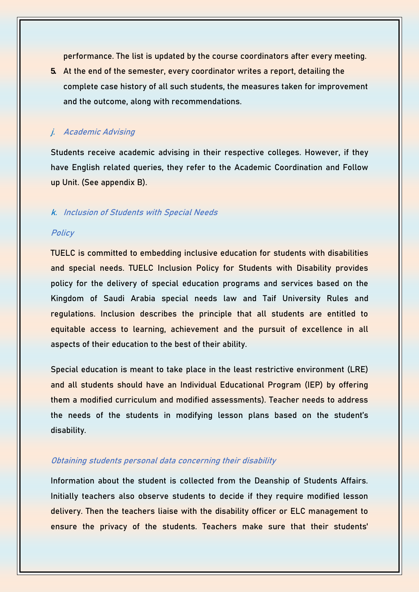performance. The list is updated by the course coordinators after every meeting.

**5.** At the end of the semester, every coordinator writes a report, detailing the complete case history of all such students, the measures taken for improvement and the outcome, along with recommendations.

#### **j. Academic Advising**

Students receive academic advising in their respective colleges. However, if they have English related queries, they refer to the Academic Coordination and Follow up Unit. (See appendix B).

#### **k. Inclusion of Students with Special Needs**

#### **Policy**

TUELC is committed to embedding inclusive education for students with disabilities and special needs. TUELC Inclusion Policy for Students with Disability provides policy for the delivery of special education programs and services based on the Kingdom of Saudi Arabia special needs law and Taif University Rules and regulations. Inclusion describes the principle that all students are entitled to equitable access to learning, achievement and the pursuit of excellence in all aspects of their education to the best of their ability.

Special education is meant to take place in the least restrictive environment (LRE) and all students should have an Individual Educational Program (IEP) by offering them a modified curriculum and modified assessments). Teacher needs to address the needs of the students in modifying lesson plans based on the student's disability.

#### **Obtaining students personal data concerning their disability**

Information about the student is collected from the Deanship of Students Affairs. Initially teachers also observe students to decide if they require modified lesson delivery. Then the teachers liaise with the disability officer or ELC management to ensure the privacy of the students. Teachers make sure that their students'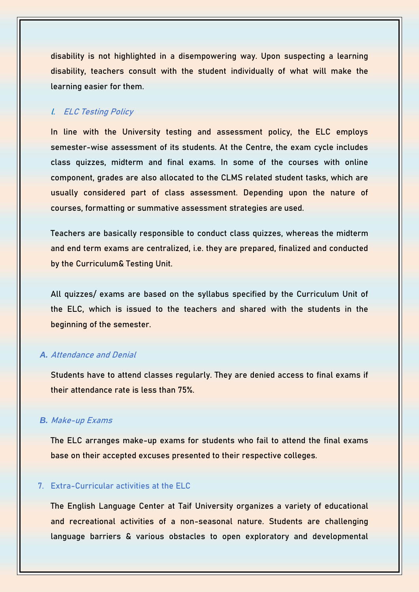disability is not highlighted in a disempowering way. Upon suspecting a learning disability, teachers consult with the student individually of what will make the learning easier for them.

#### **l. ELC Testing Policy**

In line with the University testing and assessment policy, the ELC employs semester-wise assessment of its students. At the Centre, the exam cycle includes class quizzes, midterm and final exams. In some of the courses with online component, grades are also allocated to the CLMS related student tasks, which are usually considered part of class assessment. Depending upon the nature of courses, formatting or summative assessment strategies are used.

Teachers are basically responsible to conduct class quizzes, whereas the midterm and end term exams are centralized, i.e. they are prepared, finalized and conducted by the Curriculum& Testing Unit.

All quizzes/ exams are based on the syllabus specified by the Curriculum Unit of the ELC, which is issued to the teachers and shared with the students in the beginning of the semester.

#### *A.* **Attendance and Denial**

Students have to attend classes regularly. They are denied access to final exams if their attendance rate is less than 75%.

#### *B.* **Make-up Exams**

The ELC arranges make-up exams for students who fail to attend the final exams base on their accepted excuses presented to their respective colleges.

#### **7. Extra-Curricular activities at the ELC**

The **English Language Center** at Taif University organizes a variety of educational and recreational activities of a non-seasonal nature. Students are challenging language barriers & various obstacles to open exploratory and developmental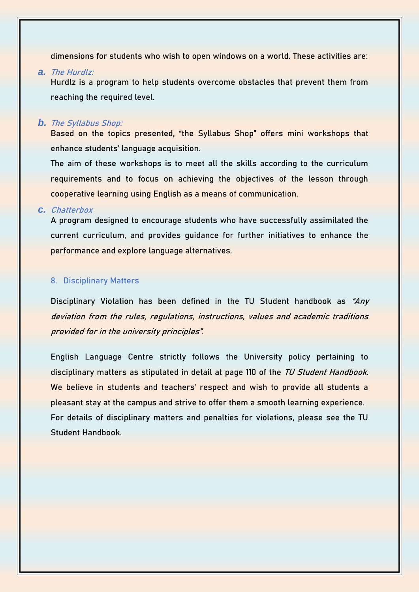dimensions for students who wish to open windows on a world. These activities are:

#### *a.* **The Hurdlz:**

Hurdlz is a program to help students overcome obstacles that prevent them from reaching the required level.

#### *b.* **The Syllabus Shop:**

Based on the topics presented, "the Syllabus Shop" offers mini workshops that enhance students' language acquisition.

The aim of these workshops is to meet all the skills according to the curriculum requirements and to focus on achieving the objectives of the lesson through cooperative learning using English as a means of communication.

#### *c.* **Chatterbox**

A program designed to encourage students who have successfully assimilated the current curriculum, and provides guidance for further initiatives to enhance the performance and explore language alternatives.

#### **8. Disciplinary Matters**

Disciplinary Violation has been defined in the TU Student handbook as **"Any deviation from the rules, regulations, instructions, values and academic traditions provided for in the university principles"**.

English Language Centre strictly follows the University policy pertaining to disciplinary matters as stipulated in detail at page 110 of the **TU Student Handbook**. We believe in students and teachers' respect and wish to provide all students a pleasant stay at the campus and strive to offer them a smooth learning experience. For details of disciplinary matters and penalties for violations, please see the TU Student Handbook.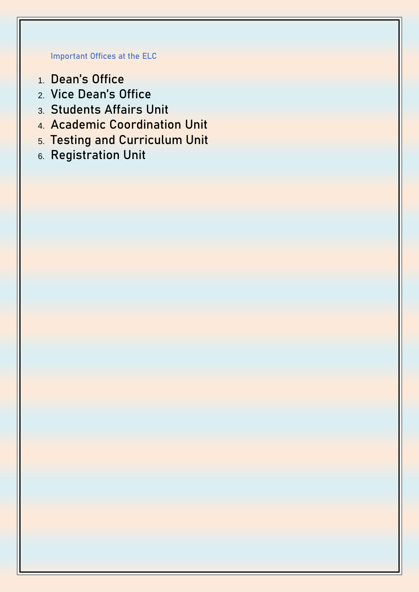## **Important Offices at the ELC**

- 1. Dean's Office
- 2. Vice Dean's Office
- 3. Students Affairs Unit
- 4. Academic Coordination Unit
- 5. Testing and Curriculum Unit
- 6. Registration Unit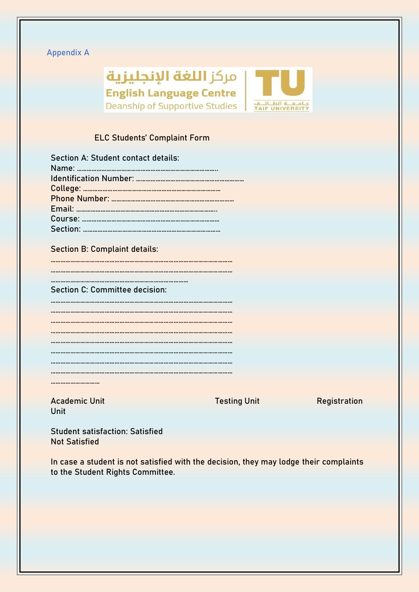### **Appendix A**



## **ELC Students' Complaint Form**

| Section A: Student contact details: |
|-------------------------------------|
|                                     |
|                                     |
|                                     |
|                                     |
|                                     |
|                                     |
|                                     |
|                                     |

#### **Section B: Complaint details:**

| Section C: Committee decision: |
|--------------------------------|
|                                |
|                                |
|                                |
|                                |

…………………………

Academic Unit No. 2010 No. 2010 Neglection Testing Unit Neglectration **Unit** 

**Student satisfaction**: Satisfied Not Satisfied

In case a student is not satisfied with the decision, they may lodge their complaints to the Student Rights Committee.